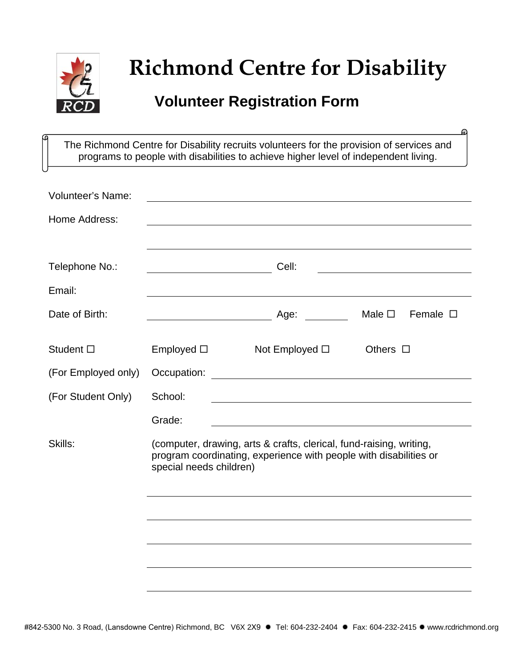

## **Richmond Centre for Disability**

ക

## **Volunteer Registration Form**

The Richmond Centre for Disability recruits volunteers for the provision of services and programs to people with disabilities to achieve higher level of independent living.

| <b>Volunteer's Name:</b> |                                                                                                                                                                     |                                                                                                                        |                                    |
|--------------------------|---------------------------------------------------------------------------------------------------------------------------------------------------------------------|------------------------------------------------------------------------------------------------------------------------|------------------------------------|
| Home Address:            |                                                                                                                                                                     |                                                                                                                        |                                    |
|                          |                                                                                                                                                                     |                                                                                                                        |                                    |
| Telephone No.:           |                                                                                                                                                                     | Cell:                                                                                                                  |                                    |
| Email:                   |                                                                                                                                                                     |                                                                                                                        |                                    |
| Date of Birth:           |                                                                                                                                                                     | Age:                                                                                                                   | Female $\square$<br>Male $\square$ |
| Student $\square$        | Employed $\square$                                                                                                                                                  | Not Employed $\square$                                                                                                 | Others $\square$                   |
| (For Employed only)      | Occupation:                                                                                                                                                         | <u> 1980 - Johann Barn, mars ann an t-Amhainn an t-Amhainn an t-Amhainn an t-Amhainn an t-Amhainn an t-Amhainn an </u> |                                    |
| (For Student Only)       | School:                                                                                                                                                             |                                                                                                                        |                                    |
|                          | Grade:                                                                                                                                                              |                                                                                                                        |                                    |
| Skills:                  | (computer, drawing, arts & crafts, clerical, fund-raising, writing,<br>program coordinating, experience with people with disabilities or<br>special needs children) |                                                                                                                        |                                    |
|                          |                                                                                                                                                                     |                                                                                                                        |                                    |
|                          |                                                                                                                                                                     |                                                                                                                        |                                    |
|                          |                                                                                                                                                                     |                                                                                                                        |                                    |
|                          |                                                                                                                                                                     |                                                                                                                        |                                    |